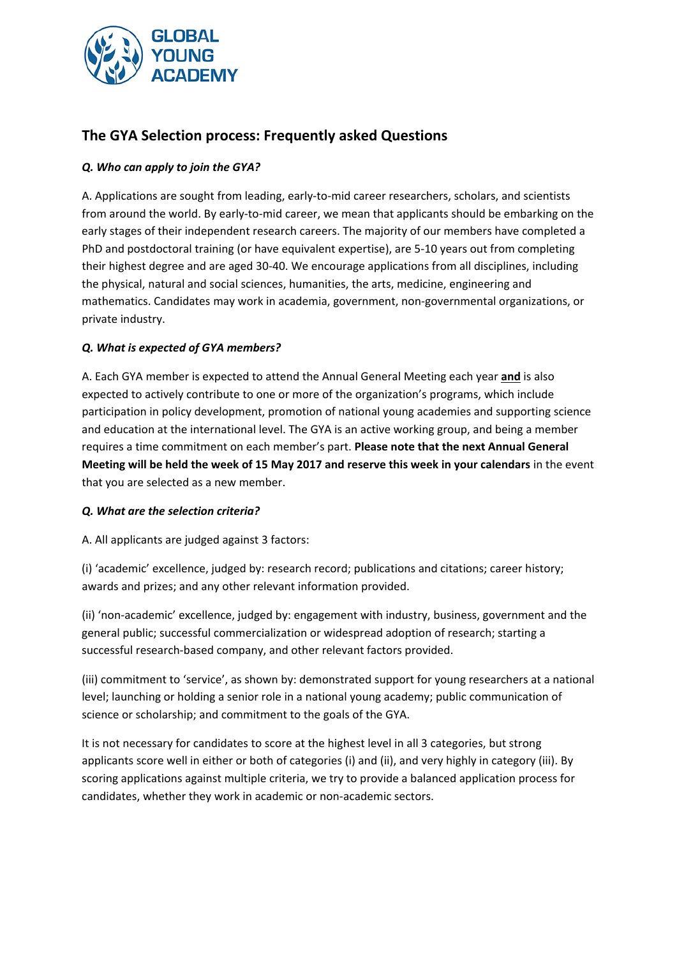

# **The GYA Selection process: Frequently asked Questions**

## *Q. Who can apply to join the GYA?*

A. Applications are sought from leading, early‐to‐mid career researchers, scholars, and scientists from around the world. By early‐to‐mid career, we mean that applicants should be embarking on the early stages of their independent research careers. The majority of our members have completed a PhD and postdoctoral training (or have equivalent expertise), are 5‐10 years out from completing their highest degree and are aged 30‐40. We encourage applications from all disciplines, including the physical, natural and social sciences, humanities, the arts, medicine, engineering and mathematics. Candidates may work in academia, government, non‐governmental organizations, or private industry.

## *Q. What is expected of GYA members?*

A. Each GYA member is expected to attend the Annual General Meeting each year **and** is also expected to actively contribute to one or more of the organization's programs, which include participation in policy development, promotion of national young academies and supporting science and education at the international level. The GYA is an active working group, and being a member requires a time commitment on each member's part. **Please note that the next Annual General Meeting will be held the week of 15 May 2017 and reserve this week in your calendars** in the event that you are selected as a new member.

#### *Q. What are the selection criteria?*

A. All applicants are judged against 3 factors:

(i) 'academic' excellence, judged by: research record; publications and citations; career history; awards and prizes; and any other relevant information provided.

(ii) 'non‐academic' excellence, judged by: engagement with industry, business, government and the general public; successful commercialization or widespread adoption of research; starting a successful research‐based company, and other relevant factors provided.

(iii) commitment to 'service', as shown by: demonstrated support for young researchers at a national level; launching or holding a senior role in a national young academy; public communication of science or scholarship; and commitment to the goals of the GYA.

It is not necessary for candidates to score at the highest level in all 3 categories, but strong applicants score well in either or both of categories (i) and (ii), and very highly in category (iii). By scoring applications against multiple criteria, we try to provide a balanced application process for candidates, whether they work in academic or non‐academic sectors.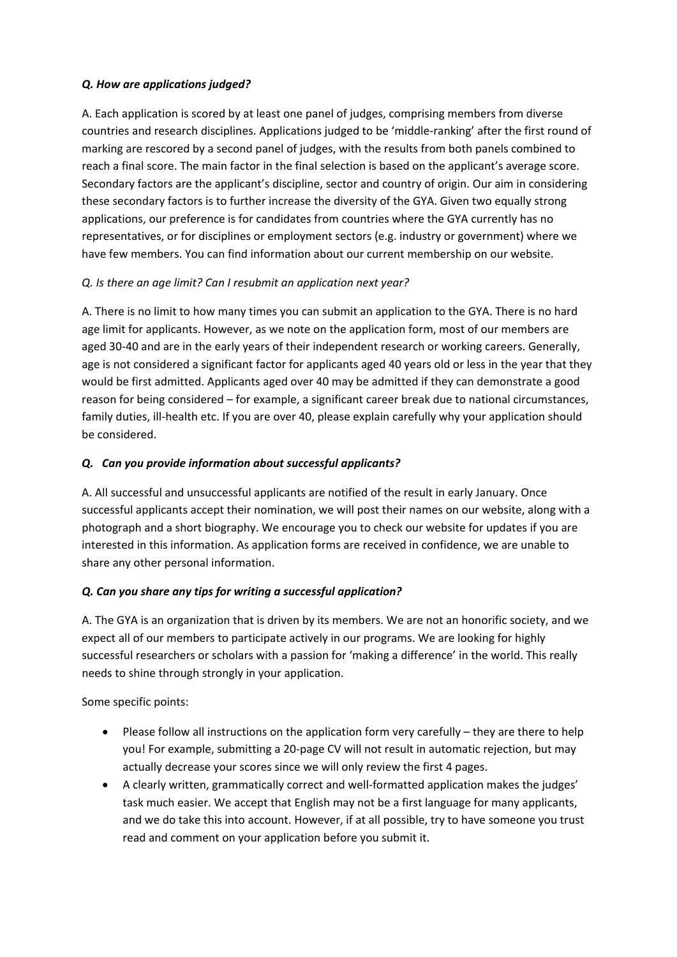#### *Q. How are applications judged?*

A. Each application is scored by at least one panel of judges, comprising members from diverse countries and research disciplines. Applications judged to be 'middle‐ranking' after the first round of marking are rescored by a second panel of judges, with the results from both panels combined to reach a final score. The main factor in the final selection is based on the applicant's average score. Secondary factors are the applicant's discipline, sector and country of origin. Our aim in considering these secondary factors is to further increase the diversity of the GYA. Given two equally strong applications, our preference is for candidates from countries where the GYA currently has no representatives, or for disciplines or employment sectors (e.g. industry or government) where we have few members. You can find information about our current membership on our website.

# *Q. Is there an age limit? Can I resubmit an application next year?*

A. There is no limit to how many times you can submit an application to the GYA. There is no hard age limit for applicants. However, as we note on the application form, most of our members are aged 30‐40 and are in the early years of their independent research or working careers. Generally, age is not considered a significant factor for applicants aged 40 years old or less in the year that they would be first admitted. Applicants aged over 40 may be admitted if they can demonstrate a good reason for being considered – for example, a significant career break due to national circumstances, family duties, ill-health etc. If you are over 40, please explain carefully why your application should be considered.

## *Q.* *Can you provide information about successful applicants?*

A. All successful and unsuccessful applicants are notified of the result in early January. Once successful applicants accept their nomination, we will post their names on our website, along with a photograph and a short biography. We encourage you to check our website for updates if you are interested in this information. As application forms are received in confidence, we are unable to share any other personal information.

# *Q. Can you share any tips for writing a successful application?*

A. The GYA is an organization that is driven by its members. We are not an honorific society, and we expect all of our members to participate actively in our programs. We are looking for highly successful researchers or scholars with a passion for 'making a difference' in the world. This really needs to shine through strongly in your application.

Some specific points:

- Please follow all instructions on the application form very carefully they are there to help you! For example, submitting a 20‐page CV will not result in automatic rejection, but may actually decrease your scores since we will only review the first 4 pages.
- A clearly written, grammatically correct and well‐formatted application makes the judges' task much easier. We accept that English may not be a first language for many applicants, and we do take this into account. However, if at all possible, try to have someone you trust read and comment on your application before you submit it.